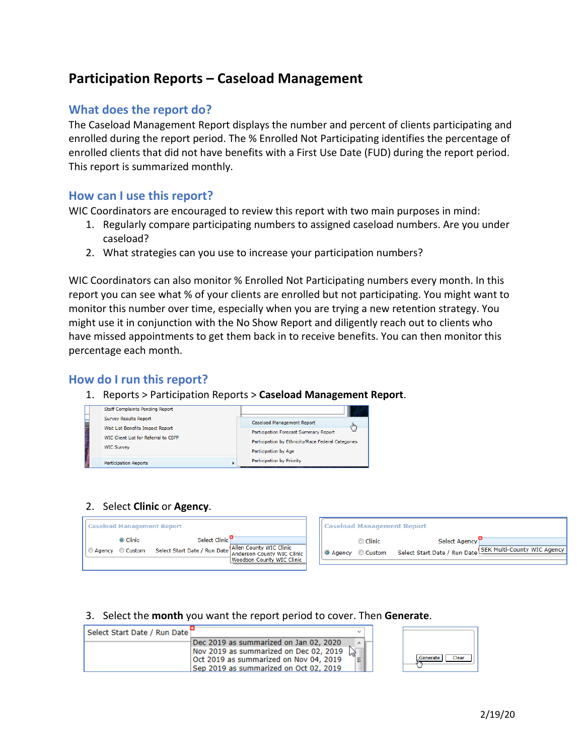# **Participation Reports – Caseload Management**

### **What does the report do?**

The Caseload Management Report displays the number and percent of clients participating and enrolled during the report period. The % Enrolled Not Participating identifies the percentage of enrolled clients that did not have benefits with a First Use Date (FUD) during the report period. This report is summarized monthly.

#### **How can I use this report?**

WIC Coordinators are encouraged to review this report with two main purposes in mind:

- 1. Regularly compare participating numbers to assigned caseload numbers. Are you under caseload?
- 2. What strategies can you use to increase your participation numbers?

WIC Coordinators can also monitor % Enrolled Not Participating numbers every month. In this report you can see what % of your clients are enrolled but not participating. You might want to monitor this number over time, especially when you are trying a new retention strategy. You might use it in conjunction with the No Show Report and diligently reach out to clients who have missed appointments to get them back in to receive benefits. You can then monitor this percentage each month.

#### **How do I run this report?**

1. Reports > Participation Reports > **Caseload Management Report**.



#### 2. Select **Clinic** or **Agency**.



#### 3. Select the **month** you want the report period to cover. Then **Generate**.

| Select Start Date / Run Date i |                                        |     |                   |
|--------------------------------|----------------------------------------|-----|-------------------|
|                                | Dec 2019 as summarized on Jan 02, 2020 |     |                   |
|                                | Nov 2019 as summarized on Dec 02, 2019 |     |                   |
|                                | Oct 2019 as summarized on Nov 04, 2019 | ¶≡™ | Clear<br>Generate |
|                                | Sep 2019 as summarized on Oct 02, 2019 |     |                   |